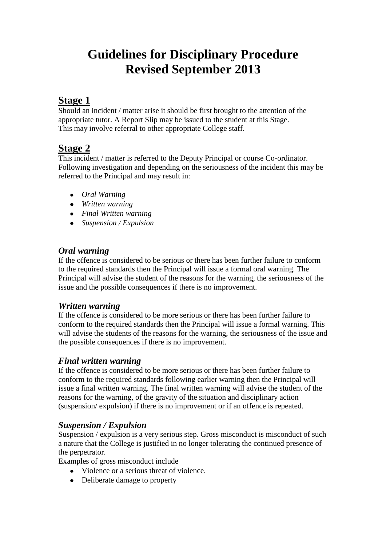# **Guidelines for Disciplinary Procedure Revised September 2013**

## **Stage 1**

Should an incident / matter arise it should be first brought to the attention of the appropriate tutor. A Report Slip may be issued to the student at this Stage. This may involve referral to other appropriate College staff.

## **Stage 2**

This incident / matter is referred to the Deputy Principal or course Co-ordinator. Following investigation and depending on the seriousness of the incident this may be referred to the Principal and may result in:

- *Oral Warning*
- *Written warning*
- *Final Written warning*
- *Suspension / Expulsion*

#### *Oral warning*

If the offence is considered to be serious or there has been further failure to conform to the required standards then the Principal will issue a formal oral warning. The Principal will advise the student of the reasons for the warning, the seriousness of the issue and the possible consequences if there is no improvement.

#### *Written warning*

If the offence is considered to be more serious or there has been further failure to conform to the required standards then the Principal will issue a formal warning. This will advise the students of the reasons for the warning, the seriousness of the issue and the possible consequences if there is no improvement.

#### *Final written warning*

If the offence is considered to be more serious or there has been further failure to conform to the required standards following earlier warning then the Principal will issue a final written warning. The final written warning will advise the student of the reasons for the warning, of the gravity of the situation and disciplinary action (suspension/ expulsion) if there is no improvement or if an offence is repeated.

#### *Suspension / Expulsion*

Suspension / expulsion is a very serious step. Gross misconduct is misconduct of such a nature that the College is justified in no longer tolerating the continued presence of the perpetrator.

Examples of gross misconduct include

- Violence or a serious threat of violence.
- Deliberate damage to property